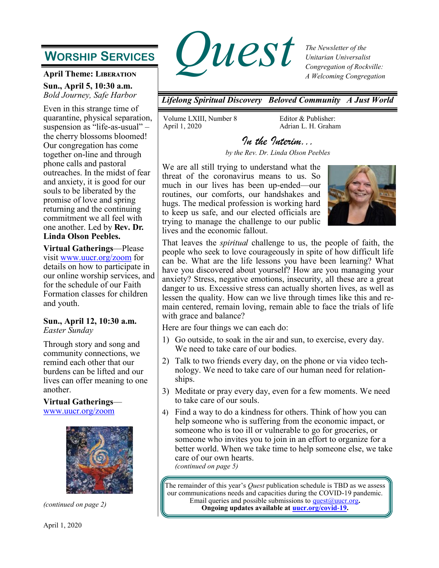# **WORSHIP SERVICES**

### **April Theme: Liberation**

**Sun., April 5, 10:30 a.m.** *Bold Journey, Safe Harbor*

Even in this strange time of quarantine, physical separation, suspension as "life-as-usual" – the cherry blossoms bloomed! Our congregation has come together on-line and through phone calls and pastoral outreaches. In the midst of fear and anxiety, it is good for our souls to be liberated by the promise of love and spring returning and the continuing commitment we all feel with one another. Led by **Rev. Dr. Linda Olson Peebles.** 

**Virtual Gatherings**—Please visit [www.uucr.org/zoom](http://www.uucr.org/zoom) for details on how to participate in our online worship services, and for the schedule of our Faith Formation classes for children and youth.

### **Sun., April 12, 10:30 a.m.** *Easter Sunday*

Through story and song and community connections, we remind each other that our burdens can be lifted and our lives can offer meaning to one another.

## **Virtual Gatherings**—

[www.uucr.org/zoom](https://www.uucr.org/zoom)



*(continued on page 2)*



*The Newsletter of the Unitarian Universalist Congregation of Rockville: A Welcoming Congregation*

*Lifelong Spiritual Discovery Beloved Community A Just World*

Volume LXIII, Number 8 April 1, 2020

Editor & Publisher: Adrian L. H. Graham

*In the Interim... by the Rev. Dr. Linda Olson Peebles* 

We are all still trying to understand what the threat of the coronavirus means to us. So much in our lives has been up-ended—our routines, our comforts, our handshakes and hugs. The medical profession is working hard to keep us safe, and our elected officials are trying to manage the challenge to our public lives and the economic fallout.



That leaves the *spiritual* challenge to us, the people of faith, the people who seek to love courageously in spite of how difficult life can be. What are the life lessons you have been learning? What have you discovered about yourself? How are you managing your anxiety? Stress, negative emotions, insecurity, all these are a great danger to us. Excessive stress can actually shorten lives, as well as lessen the quality. How can we live through times like this and remain centered, remain loving, remain able to face the trials of life with grace and balance?

Here are four things we can each do:

- 1) Go outside, to soak in the air and sun, to exercise, every day. We need to take care of our bodies.
- 2) Talk to two friends every day, on the phone or via video technology. We need to take care of our human need for relationships.
- 3) Meditate or pray every day, even for a few moments. We need to take care of our souls.
- 4) Find a way to do a kindness for others. Think of how you can help someone who is suffering from the economic impact, or someone who is too ill or vulnerable to go for groceries, or someone who invites you to join in an effort to organize for a better world. When we take time to help someone else, we take care of our own hearts. *(continued on page 5)*

The remainder of this year's *Quest* publication schedule is TBD as we assess our communications needs and capacities during the COVID-19 pandemic. Email queries and possible submissions to [quest@uucr.org](mailto:quest@uucr.org?subject=re:%20September%20Quest%20submission)**. Ongoing updates available at [uucr.org/covid-19.](http://www.uucr.org/covid-19)**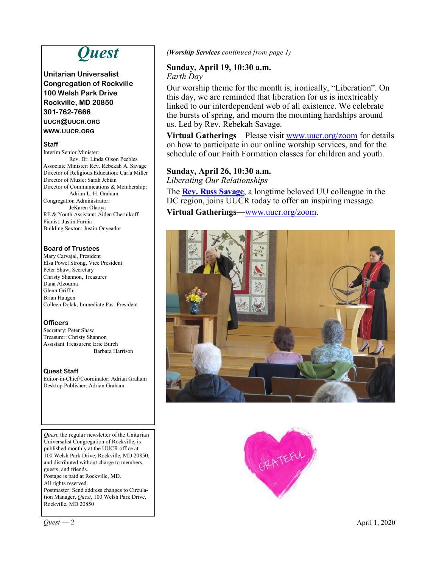# *Quest*

**Unitarian Universalist Congregation of Rockville 100 Welsh Park Drive Rockville, MD 20850 301-762-7666 UUCR@UUCR.ORG WWW.UUCR.ORG**

#### **Staff**

Interim Senior Minister: Rev. Dr. Linda Olson Peebles Associate Minister: Rev. Rebekah A. Savage Director of Religious Education: Carla Miller Director of Music: Sarah Jebian Director of Communications & Membership: Adrian L. H. Graham Congregation Administrator: JeKaren Olaoya RE & Youth Assistant: Aiden Chernikoff Pianist: Justin Furnia Building Sexton: Justin Onyeador

#### **Board of Trustees**

Mary Carvajal, President Elsa Powel Strong, Vice President Peter Shaw, Secretary Christy Shannon, Treasurer Dana Alzouma Glenn Griffin Brian Haugen Colleen Dolak, Immediate Past President

#### **Officers**

Secretary: Peter Shaw Treasurer: Christy Shannon Assistant Treasurers: Eric Burch Barbara Harrison

#### **Quest Staff**

Editor-in-Chief/Coordinator: Adrian Graham Desktop Publisher: Adrian Graham

*Quest*, the regular newsletter of the Unitarian Universalist Congregation of Rockville, is published monthly at the UUCR office at 100 Welsh Park Drive, Rockville, MD 20850, and distributed without charge to members, guests, and friends. Postage is paid at Rockville, MD. All rights reserved. Postmaster: Send address changes to Circulation Manager, *Quest*, 100 Welsh Park Drive,

*(Worship Services continued from page 1)*

### **Sunday, April 19, 10:30 a.m.**

*Earth Day*

Our worship theme for the month is, ironically, "Liberation". On this day, we are reminded that liberation for us is inextricably linked to our interdependent web of all existence. We celebrate the bursts of spring, and mourn the mounting hardships around us. Led by Rev. Rebekah Savage.

**Virtual Gatherings**—Please visit [www.uucr.org/zoom](http://www.uucr.org/zoom) for details on how to participate in our online worship services, and for the schedule of our Faith Formation classes for children and youth.

### **Sunday, April 26, 10:30 a.m.**

*Liberating Our Relationships*

The **[Rev. Russ Savage](https://uubridge.info/our-minister/)**, a longtime beloved UU colleague in the DC region, joins UUCR today to offer an inspiring message.

**Virtual Gatherings**[—www.uucr.org/zoom.](https://www.uucr.org/zoom)





Rockville, MD 20850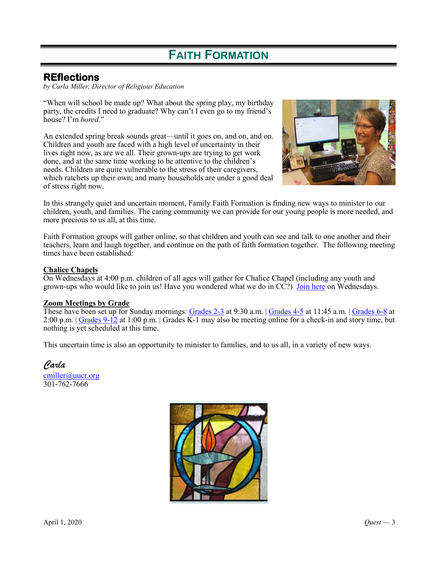# **FAITH FORMATION**

### **REflections**

*by Carla Miller, Director of Religious Education*

"When will school be made up? What about the spring play, my birthday party, the credits I need to graduate? Why can't I even go to my friend's house? I'm *bored*."

An extended spring break sounds great—until it goes on, and on, and on. Children and youth are faced with a high level of uncertainty in their lives right now, as are we all. Their grown-ups are trying to get work done, and at the same time working to be attentive to the children's needs. Children are quite vulnerable to the stress of their caregivers, which ratchets up their own; and many households are under a good deal of stress right now.



In this strangely quiet and uncertain moment, Family Faith Formation is finding new ways to minister to our children, youth, and families. The caring community we can provide for our young people is more needed, and more precious to us all, at this time.

Faith Formation groups will gather online, so that children and youth can see and talk to one another and their teachers, learn and laugh together, and continue on the path of faith formation together. The following meeting times have been established:

### **Chalice Chapels**

On Wednesdays at 4:00 p.m. children of all ages will gather for Chalice Chapel (including any youth and grown-ups who would like to join us! Have you wondered what we do in CC?) [Join here](https://zoom.us/j/101548017) on Wednesdays.

#### **Zoom Meetings by Grade**

These have been set up for Sunday mornings: [Grades 2-3](https://zoom.us/j/926076831) at 9:30 a.m. | [Grades 4-5](https://zoom.us/j/914602243) at 11:45 a.m. | [Grades 6-8](https://zoom.us/j/198870939) at 2:00 p.m. | [Grades 9-12](https://zoom.us/j/618467595) at 1:00 p.m. | Grades K-1 may also be meeting online for a check-in and story time, but nothing is yet scheduled at this time.

This uncertain time is also an opportunity to minister to families, and to us all, in a variety of new ways.

*Carla* [cmiller@uucr.org](mailto:cmiller@uucr.org) 301-762-7666

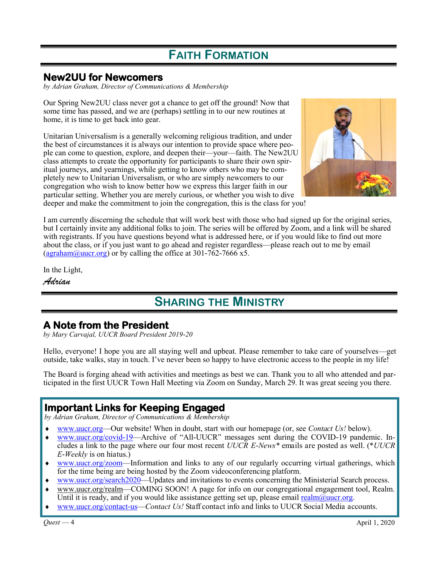# **FAITH FORMATION**

### **New2UU for Newcomers**

*by Adrian Graham, Director of Communications & Membership*

Our Spring New2UU class never got a chance to get off the ground! Now that some time has passed, and we are (perhaps) settling in to our new routines at home, it is time to get back into gear.

Unitarian Universalism is a generally welcoming religious tradition, and under the best of circumstances it is always our intention to provide space where people can come to question, explore, and deepen their—your—faith. The New2UU class attempts to create the opportunity for participants to share their own spiritual journeys, and yearnings, while getting to know others who may be completely new to Unitarian Universalism, or who are simply newcomers to our congregation who wish to know better how we express this larger faith in our particular setting. Whether you are merely curious, or whether you wish to dive deeper and make the commitment to join the congregation, this is the class for you!



I am currently discerning the schedule that will work best with those who had signed up for the original series, but I certainly invite any additional folks to join. The series will be offered by Zoom, and a link will be shared with registrants. If you have questions beyond what is addressed here, or if you would like to find out more about the class, or if you just want to go ahead and register regardless—please reach out to me by email [\(agraham@uucr.org\)](mailto:agraham@uucr.org) or by calling the office at 301-762-7666 x5.

In the Light,

*Adrian*

## **SHARING THE MINISTRY**

## **A Note from the President**

*by Mary Carvajal, UUCR Board President 2019-20*

Hello, everyone! I hope you are all staying well and upbeat. Please remember to take care of yourselves—get outside, take walks, stay in touch. I've never been so happy to have electronic access to the people in my life!

The Board is forging ahead with activities and meetings as best we can. Thank you to all who attended and participated in the first UUCR Town Hall Meeting via Zoom on Sunday, March 29. It was great seeing you there.

## **Important Links for Keeping Engaged**

*by Adrian Graham, Director of Communications & Membership*

- [www.uucr.org—](https://www.uucr.org)Our website! When in doubt, start with our homepage (or, see *Contact Us!* below).
- [www.uucr.org/covid-19—A](https://www.uucr.org/covid-19)rchive of "All-UUCR" messages sent during the COVID-19 pandemic. Includes a link to the page where our four most recent *UUCR E-News\** emails are posted as well. (\**UUCR E-Weekly* is on hiatus.)
- [www.uucr.org/zoom—I](https://www.uucr.org/zoom)nformation and links to any of our regularly occurring virtual gatherings, which for the time being are being hosted by the Zoom videoconferencing platform.
- [www.uucr.org/search2020—U](https://www.uucr.org/search2020)pdates and invitations to events concerning the Ministerial Search process.
- www.uucr.org/realm—COMING SOON! A page for info on our congregational engagement tool, Realm. Until it is ready, and if you would like assistance getting set up, please email realm@uucr.org.
- [www.uucr.org/contact-us—](http://www.uucr.org/contact-us)*Contact Us!* Staff contact info and links to UUCR Social Media accounts.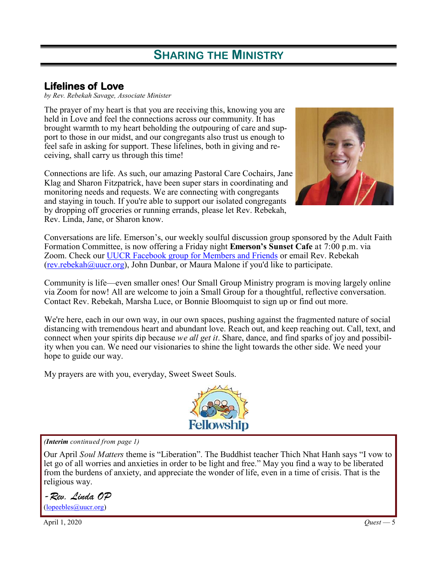# **SHARING THE MINISTRY**

## **Lifelines of Love**

*by Rev. Rebekah Savage, Associate Minister*

The prayer of my heart is that you are receiving this, knowing you are held in Love and feel the connections across our community. It has brought warmth to my heart beholding the outpouring of care and support to those in our midst, and our congregants also trust us enough to feel safe in asking for support. These lifelines, both in giving and receiving, shall carry us through this time!

Connections are life. As such, our amazing Pastoral Care Cochairs, Jane Klag and Sharon Fitzpatrick, have been super stars in coordinating and monitoring needs and requests. We are connecting with congregants and staying in touch. If you're able to support our isolated congregants by dropping off groceries or running errands, please let Rev. Rebekah, Rev. Linda, Jane, or Sharon know.



Conversations are life. Emerson's, our weekly soulful discussion group sponsored by the Adult Faith Formation Committee, is now offering a Friday night **Emerson's Sunset Cafe** at 7:00 p.m. via Zoom. Check our **[UUCR Facebook group for Members and Friends](http://www.facebook.com/groups/uu.rockville)** or email Rev. Rebekah ([rev.rebekah@uucr.org\)](mailto:rev.rebekah@uucr.org), John Dunbar, or Maura Malone if you'd like to participate.

Community is life—even smaller ones! Our Small Group Ministry program is moving largely online via Zoom for now! All are welcome to join a Small Group for a thoughtful, reflective conversation. Contact Rev. Rebekah, Marsha Luce, or Bonnie Bloomquist to sign up or find out more.

We're here, each in our own way, in our own spaces, pushing against the fragmented nature of social distancing with tremendous heart and abundant love. Reach out, and keep reaching out. Call, text, and connect when your spirits dip because *we all get it*. Share, dance, and find sparks of joy and possibility when you can. We need our visionaries to shine the light towards the other side. We need your hope to guide our way.

My prayers are with you, everyday, Sweet Sweet Souls.



### *(Interim continued from page 1)*

Our April *Soul Matters* theme is "Liberation". The Buddhist teacher Thich Nhat Hanh says "I vow to let go of all worries and anxieties in order to be light and free." May you find a way to be liberated from the burdens of anxiety, and appreciate the wonder of life, even in a time of crisis. That is the religious way.

*-Rev. Linda OP*  [\(lopeebles@uucr.org\)](mailto:lopeebles@uucr.org)

April 1, 2020 *Quest* — 5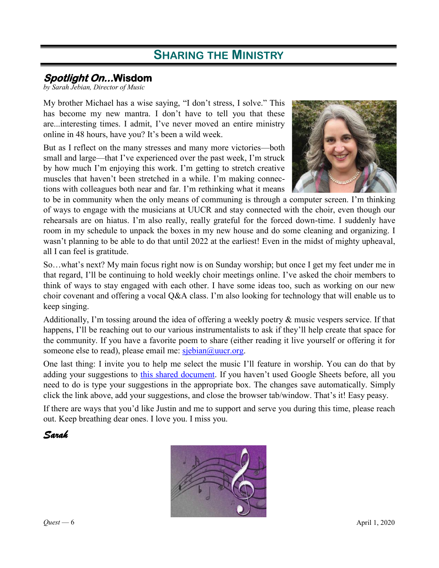## **SHARING THE MINISTRY**

## **Spotlight On...Wisdom**

*by Sarah Jebian, Director of Music*

 My brother Michael has a wise saying, "I don't stress, I solve." This has become my new mantra. I don't have to tell you that these are...interesting times. I admit, I've never moved an entire ministry online in 48 hours, have you? It's been a wild week.

But as I reflect on the many stresses and many more victories—both small and large—that I've experienced over the past week, I'm struck by how much I'm enjoying this work. I'm getting to stretch creative muscles that haven't been stretched in a while. I'm making connections with colleagues both near and far. I'm rethinking what it means



to be in community when the only means of communing is through a computer screen. I'm thinking of ways to engage with the musicians at UUCR and stay connected with the choir, even though our rehearsals are on hiatus. I'm also really, really grateful for the forced down-time. I suddenly have room in my schedule to unpack the boxes in my new house and do some cleaning and organizing. I wasn't planning to be able to do that until 2022 at the earliest! Even in the midst of mighty upheaval, all I can feel is gratitude.

So…what's next? My main focus right now is on Sunday worship; but once I get my feet under me in that regard, I'll be continuing to hold weekly choir meetings online. I've asked the choir members to think of ways to stay engaged with each other. I have some ideas too, such as working on our new choir covenant and offering a vocal Q&A class. I'm also looking for technology that will enable us to keep singing.

Additionally, I'm tossing around the idea of offering a weekly poetry & music vespers service. If that happens, I'll be reaching out to our various instrumentalists to ask if they'll help create that space for the community. If you have a favorite poem to share (either reading it live yourself or offering it for someone else to read), please email me:  $s_j = \frac{\delta}{\delta}$ uucr.org.

One last thing: I invite you to help me select the music I'll feature in worship. You can do that by adding your suggestions to [this shared document.](https://docs.google.com/spreadsheets/d/1q96SSi9OYtCh22c1ofIxDsfUJZG1tvnbmdJM78iUZ6Q/edit?usp=sharing) If you haven't used Google Sheets before, all you need to do is type your suggestions in the appropriate box. The changes save automatically. Simply click the link above, add your suggestions, and close the browser tab/window. That's it! Easy peasy.

If there are ways that you'd like Justin and me to support and serve you during this time, please reach out. Keep breathing dear ones. I love you. I miss you.

### *Sarah*

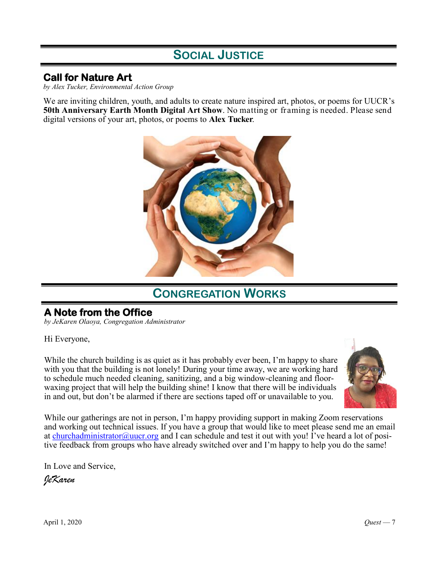## **SOCIAL JUSTICE**

### **Call for Nature Art**

*by Alex Tucker, Environmental Action Group*

We are inviting children, youth, and adults to create nature inspired art, photos, or poems for UUCR's **50th Anniversary Earth Month Digital Art Show**. No matting or framing is needed. Please send digital versions of your art, photos, or poems to **Alex Tucker**.



## **CONGREGATION WORKS**

## **A Note from the Office**

*by JeKaren Olaoya, Congregation Administrator*

Hi Everyone,

While the church building is as quiet as it has probably ever been, I'm happy to share with you that the building is not lonely! During your time away, we are working hard to schedule much needed cleaning, sanitizing, and a big window-cleaning and floorwaxing project that will help the building shine! I know that there will be individuals in and out, but don't be alarmed if there are sections taped off or unavailable to you.



While our gatherings are not in person, I'm happy providing support in making Zoom reservations and working out technical issues. If you have a group that would like to meet please send me an email at [churchadministrator@uucr.org](mailto:churchadministrator@uucr.org) and I can schedule and test it out with you! I've heard a lot of positive feedback from groups who have already switched over and I'm happy to help you do the same!

In Love and Service,

*JeKaren*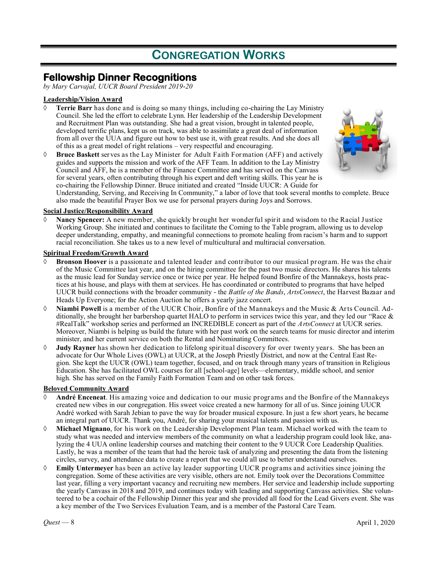# **CONGREGATION WORKS**

### **Fellowship Dinner Recognitions**

*by Mary Carvajal, UUCR Board President 2019-20*

#### **Leadership/Vision Award**

- **Terrie Barr** has done and is doing so many things, including co-chairing the Lay Ministry Council. She led the effort to celebrate Lynn. Her leadership of the Leadership Development and Recruitment Plan was outstanding. She had a great vision, brought in talented people, developed terrific plans, kept us on track, was able to assimilate a great deal of information from all over the UUA and figure out how to best use it, with great results. And she does all of this as a great model of right relations – very respectful and encouraging.
- **Bruce Baskett** serves as the Lay Minister for Adult Faith Formation (AFF) and actively guides and supports the mission and work of the AFF Team. In addition to the Lay Ministry Council and AFF, he is a member of the Finance Committee and has served on the Canvass for several years, often contributing through his expert and deft writing skills. This year he is co-chairing the Fellowship Dinner. Bruce initiated and created "Inside UUCR: A Guide for



Understanding, Serving, and Receiving In Community," a labor of love that took several months to complete. Bruce also made the beautiful Prayer Box we use for personal prayers during Joys and Sorrows.

#### **Social Justice/Responsibility Award**

 **Nancy Spencer:** A new member, she quickly brought her wonderful spirit and wisdom to the Racial Justice Working Group. She initiated and continues to facilitate the Coming to the Table program, allowing us to develop deeper understanding, empathy, and meaningful connections to promote healing from racism's harm and to support racial reconciliation. She takes us to a new level of multicultural and multiracial conversation.

#### **Spiritual Freedom/Growth Award**

- **Bronson Hoover** is a passionate and talented leader and contributor to our musical program. He was the chair of the Music Committee last year, and on the hiring committee for the past two music directors. He shares his talents as the music lead for Sunday service once or twice per year. He helped found Bonfire of the Mannakeys, hosts practices at his house, and plays with them at services. He has coordinated or contributed to programs that have helped UUCR build connections with the broader community - the *Battle of the Bands*, *ArtsConnect*, the Harvest Bazaar and Heads Up Everyone; for the Action Auction he offers a yearly jazz concert.
- **Niambi Powell** is a member of the UUCR Choir, Bonfire of the Mannakeys and the Music & Arts Council. Additionally, she brought her barbershop quartet HALO to perform in services twice this year, and they led our "Race & #RealTalk" workshop series and performed an INCREDIBLE concert as part of the *ArtsConnect* at UUCR series. Moreover, Niambi is helping us build the future with her past work on the search teams for music director and interim minister, and her current service on both the Rental and Nominating Committees.
- **Judy Rayner** has shown her dedication to lifelong spiritual discovery for over twenty years. She has been an advocate for Our Whole Lives (OWL) at UUCR, at the Joseph Priestly District, and now at the Central East Region. She kept the UUCR (OWL) team together, focused, and on track through many years of transition in Religious Education. She has facilitated OWL courses for all [school-age] levels—elementary, middle school, and senior high. She has served on the Family Faith Formation Team and on other task forces.

#### **Beloved Community Award**

- **André Enceneat**. His amazing voice and dedication to our music programs and the Bonfire of the Mannakeys created new vibes in our congregation. His sweet voice created a new harmony for all of us. Since joining UUCR André worked with Sarah Jebian to pave the way for broader musical exposure. In just a few short years, he became an integral part of UUCR. Thank you, André, for sharing your musical talents and passion with us.
- **Michael Mignano**, for his work on the Leadership Development Plan team. Michael worked with the team to study what was needed and interview members of the community on what a leadership program could look like, analyzing the 4 UUA online leadership courses and matching their content to the 9 UUCR Core Leadership Qualities. Lastly, he was a member of the team that had the heroic task of analyzing and presenting the data from the listening circles, survey, and attendance data to create a report that we could all use to better understand ourselves.
- **Emily Untermeyer** has been an active lay leader supporting UUCR programs and activities since joining the congregation. Some of these activities are very visible, others are not. Emily took over the Decorations Committee last year, filling a very important vacancy and recruiting new members. Her service and leadership include supporting the yearly Canvass in 2018 and 2019, and continues today with leading and supporting Canvass activities. She volunteered to be a cochair of the Fellowship Dinner this year and she provided all food for the Lead Givers event. She was a key member of the Two Services Evaluation Team, and is a member of the Pastoral Care Team.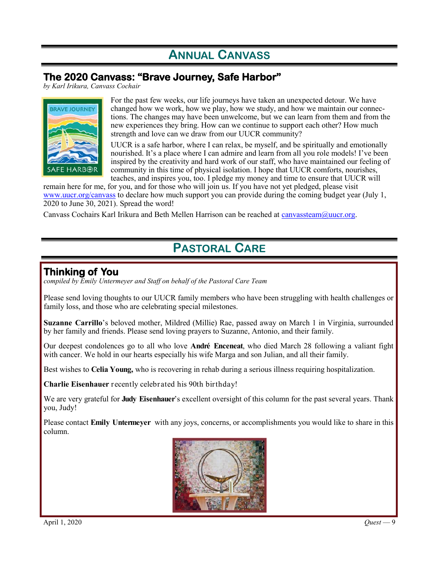# **ANNUAL CANVASS**

## **The 2020 Canvass: "Brave Journey, Safe Harbor"**

*by Karl Irikura, Canvass Cochair*



For the past few weeks, our life journeys have taken an unexpected detour. We have changed how we work, how we play, how we study, and how we maintain our connections. The changes may have been unwelcome, but we can learn from them and from the new experiences they bring. How can we continue to support each other? How much strength and love can we draw from our UUCR community?

UUCR is a safe harbor, where I can relax, be myself, and be spiritually and emotionally nourished. It's a place where I can admire and learn from all you role models! I've been inspired by the creativity and hard work of our staff, who have maintained our feeling of community in this time of physical isolation. I hope that UUCR comforts, nourishes, teaches, and inspires you, too. I pledge my money and time to ensure that UUCR will

remain here for me, for you, and for those who will join us. If you have not yet pledged, please visit [www.uucr.org/canvass](https://www.uucr.org/canvass) to declare how much support you can provide during the coming budget year (July 1, 2020 to June 30, 2021). Spread the word!

Canvass Cochairs Karl Irikura and Beth Mellen Harrison can be reached at [canvassteam@uucr.org.](mailto:canvassteam@uucr.org)

# **PASTORAL CARE**

### **Thinking of You**

*compiled by Emily Untermeyer and Staff on behalf of the Pastoral Care Team*

Please send loving thoughts to our UUCR family members who have been struggling with health challenges or family loss, and those who are celebrating special milestones.

**Suzanne Carrillo**'s beloved mother, Mildred (Millie) Rae, passed away on March 1 in Virginia, surrounded by her family and friends. Please send loving prayers to Suzanne, Antonio, and their family.

Our deepest condolences go to all who love **André Enceneat**, who died March 28 following a valiant fight with cancer. We hold in our hearts especially his wife Marga and son Julian, and all their family.

Best wishes to **Celia Young,** who is recovering in rehab during a serious illness requiring hospitalization.

**Charlie Eisenhauer** recently celebrated his 90th birthday!

We are very grateful for **Judy Eisenhauer**'s excellent oversight of this column for the past several years. Thank you, Judy!

Please contact **Emily Untermeyer** with any joys, concerns, or accomplishments you would like to share in this column.